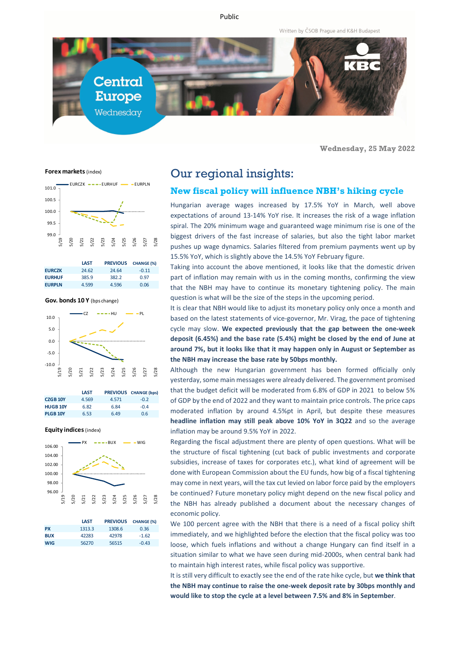Public

Written by ČSOB Prague and K&H Budapest



**Wednesday, 25 May 2022**

**Forex markets** (index)



|               | LAST  | <b>PREVIOUS</b> | <b>CHANGE (%)</b> |
|---------------|-------|-----------------|-------------------|
| <b>EURCZK</b> | 24.62 | 24.64           | $-0.11$           |
| <b>EURHUF</b> | 385.9 | 382.2           | 0.97              |
| <b>EURPLN</b> | 4.599 | 4.596           | 0.06              |

**Gov. bonds 10 Y** (bps change)



|                 | LAST  |       | PREVIOUS CHANGE (bps) |
|-----------------|-------|-------|-----------------------|
| <b>CZGB 10Y</b> | 4.569 | 4.571 | $-0.2$                |
| <b>HUGB 10Y</b> | 6.82  | 6.84  | $-0.4$                |
| <b>PLGB 10Y</b> | 6.53  | 6.49  | 0.6                   |

#### **Equity indices** (index)



|            | <b>LAST</b> | <b>PREVIOUS</b> | <b>CHANGE (%)</b> |
|------------|-------------|-----------------|-------------------|
| <b>PX</b>  | 1313.3      | 1308.6          | 0.36              |
| <b>BUX</b> | 42283       | 42978           | $-1.62$           |
| <b>WIG</b> | 56270       | 56515           | $-0.43$           |

# Our regional insights:

#### **New fiscal policy will influence NBH's hiking cycle**

Hungarian average wages increased by 17.5% YoY in March, well above expectations of around 13-14% YoY rise. It increases the risk of a wage inflation spiral. The 20% minimum wage and guaranteed wage minimum rise is one of the biggest drivers of the fast increase of salaries, but also the tight labor market pushes up wage dynamics. Salaries filtered from premium payments went up by 15.5% YoY, which is slightly above the 14.5% YoY February figure.

Taking into account the above mentioned, it looks like that the domestic driven part of inflation may remain with us in the coming months, confirming the view that the NBH may have to continue its monetary tightening policy. The main question is what will be the size of the steps in the upcoming period.

It is clear that NBH would like to adjust its monetary policy only once a month and based on the latest statements of vice-governor, Mr. Virag, the pace of tightening cycle may slow. **We expected previously that the gap between the one-week deposit (6.45%) and the base rate (5.4%) might be closed by the end of June at around 7%, but it looks like that it may happen only in August or September as the NBH may increase the base rate by 50bps monthly.**

Although the new Hungarian government has been formed officially only yesterday, some main messages were already delivered. The government promised that the budget deficit will be moderated from 6.8% of GDP in 2021 to below 5% of GDP by the end of 2022 and they want to maintain price controls. The price caps moderated inflation by around 4.5%pt in April, but despite these measures **headline inflation may still peak above 10% YoY in 3Q22** and so the average inflation may be around 9.5% YoY in 2022.

Regarding the fiscal adjustment there are plenty of open questions. What will be the structure of fiscal tightening (cut back of public investments and corporate subsidies, increase of taxes for corporates etc.), what kind of agreement will be done with European Commission about the EU funds, how big of a fiscal tightening may come in next years, will the tax cut levied on labor force paid by the employers be continued? Future monetary policy might depend on the new fiscal policy and the NBH has already published a document about the necessary changes of economic policy.

We 100 percent agree with the NBH that there is a need of a fiscal policy shift immediately, and we highlighted before the election that the fiscal policy was too loose, which fuels inflations and without a change Hungary can find itself in a situation similar to what we have seen during mid-2000s, when central bank had to maintain high interest rates, while fiscal policy was supportive.

It is still very difficult to exactly see the end of the rate hike cycle, but **we think that the NBH may continue to raise the one-week deposit rate by 30bps monthly and would like to stop the cycle at a level between 7.5% and 8% in September**.